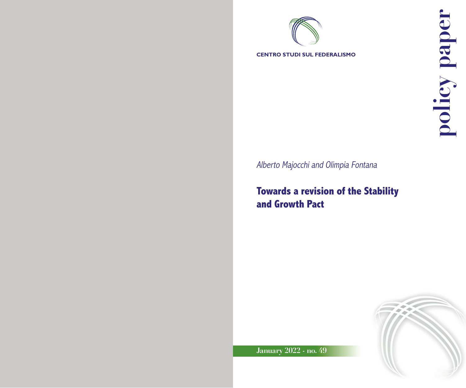

**CENTRO STUDI SUL FEDERALISMO**

Alberto Majocchi and Olimpia Fontana

**Towards a revision of the Stability and Growth Pact**



**January 2022 - no. 49**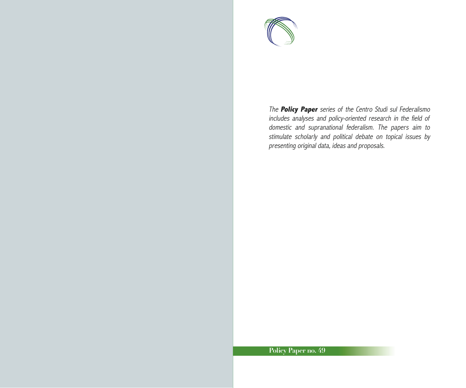

The **Policy Paper** series of the Centro Studi sul Federalismo includes analyses and policy-oriented research in the field of domestic and supranational federalism. The papers aim to stimulate scholarly and political debate on topical issues by presenting original data, ideas and proposals.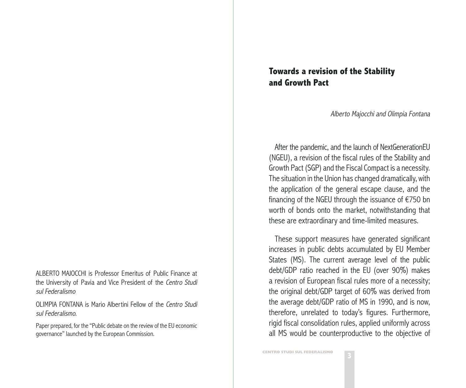ALBERTO MAJOCCHI is Professor Emeritus of Public Finance at the University of Pavia and Vice President of the Centro Studi sul Federalismo

OLIMPIA FONTANA is Mario Albertini Fellow of the Centro Studi sul Federalismo.

[Paper prepared, for the "Public debate on the review of the EU economic](https://ec.europa.eu/commission/presscorner/detail/en/ip_21_5321)  [governance"](https://ec.europa.eu/commission/presscorner/detail/en/ip_21_5321) launched by the European Commission.

## **Towards a revision of the Stability and Growth Pact**

Alberto Majocchi and Olimpia Fontana

After the pandemic, and the launch of NextGenerationEU (NGEU), a revision of the fiscal rules of the Stability and Growth Pact (SGP) and the Fiscal Compact is a necessity. The situation in the Union has changed dramatically, with the application of the general escape clause, and the financing of the NGEU through the issuance of €750 bn worth of bonds onto the market, notwithstanding that these are extraordinary and time-limited measures.

These support measures have generated significant increases in public debts accumulated by EU Member States (MS). The current average level of the public debt/GDP ratio reached in the EU (over 90%) makes a revision of European fiscal rules more of a necessity; the original debt/GDP target of 60% was derived from the average debt/GDP ratio of MS in 1990, and is now, therefore, unrelated to today's figures. Furthermore, rigid fiscal consolidation rules, applied uniformly across all MS would be counterproductive to the objective of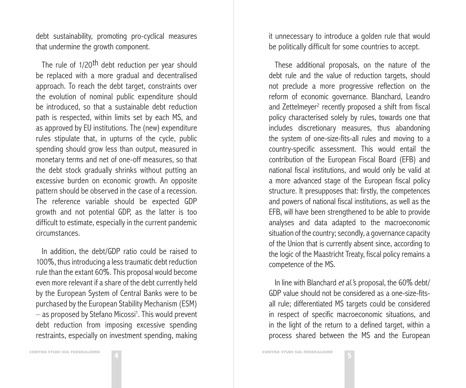debt sustainability, promoting pro-cyclical measures that undermine the growth component.

The rule of 1/20<sup>th</sup> debt reduction per year should be replaced with a more gradual and decentralised approach. To reach the debt target, constraints over the evolution of nominal public expenditure should be introduced, so that a sustainable debt reduction path is respected, within limits set by each MS, and as approved by EU institutions. The (new) expenditure rules stipulate that, in upturns of the cycle, public spending should grow less than output, measured in monetary terms and net of one-off measures, so that the debt stock gradually shrinks without putting an excessive burden on economic growth. An opposite pattern should be observed in the case of a recession. The reference variable should be expected GDP growth and not potential GDP, as the latter is too difficult to estimate, especially in the current pandemic circumstances.

In addition, the debt/GDP ratio could be raised to 100%, thus introducing a less traumatic debt reduction rule than the extant 60%. This proposal would become even more relevant if a share of the debt currently held by the European System of Central Banks were to be purchased by the European Stability Mechanism (ESM)  $-$  as proposed by Stefano Micossi<sup>1</sup>. This would prevent debt reduction from imposing excessive spending restraints, especially on investment spending, making

it unnecessary to introduce a golden rule that would be politically difficult for some countries to accept.

These additional proposals, on the nature of the debt rule and the value of reduction targets, should not preclude a more progressive reflection on the reform of economic governance. Blanchard, Leandro and Zettelmeyer<sup>2</sup> recently proposed a shift from fiscal policy characterised solely by rules, towards one that includes discretionary measures, thus abandoning the system of one-size-fits-all rules and moving to a country-specific assessment. This would entail the contribution of the European Fiscal Board (EFB) and national fiscal institutions, and would only be valid at a more advanced stage of the European fiscal policy structure. It presupposes that: firstly, the competences and powers of national fiscal institutions, as well as the EFB, will have been strengthened to be able to provide analyses and data adapted to the macroeconomic situation of the country; secondly, a governance capacity of the Union that is currently absent since, according to the logic of the Maastricht Treaty, fiscal policy remains a competence of the MS.

In line with Blanchard et al.'s proposal, the 60% debt/ GDP value should not be considered as a one-size-fitsall rule; differentiated MS targets could be considered in respect of specific macroeconomic situations, and in the light of the return to a defined target, within a process shared between the MS and the European

**5 CENTRO STUDI SUL FEDERALISMO**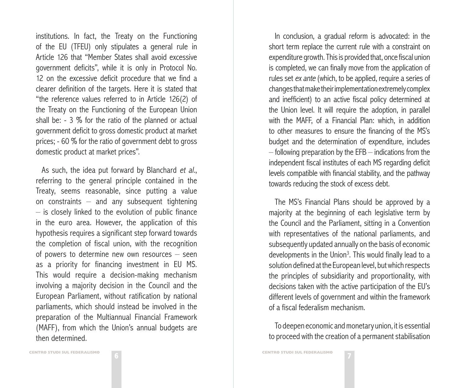institutions. In fact, the Treaty on the Functioning of the EU (TFEU) only stipulates a general rule in Article 126 that "Member States shall avoid excessive government deficits", while it is only in Protocol No. 12 on the excessive deficit procedure that we find a clearer definition of the targets. Here it is stated that "the reference values referred to in Article 126(2) of the Treaty on the Functioning of the European Union shall be: - 3 % for the ratio of the planned or actual government deficit to gross domestic product at market prices; - 60 % for the ratio of government debt to gross domestic product at market prices".

As such, the idea put forward by Blanchard et al., referring to the general principle contained in the Treaty, seems reasonable, since putting a value on constraints – and any subsequent tightening – is closely linked to the evolution of public finance in the euro area. However, the application of this hypothesis requires a significant step forward towards the completion of fiscal union, with the recognition of powers to determine new own resources – seen as a priority for financing investment in EU MS. This would require a decision-making mechanism involving a majority decision in the Council and the European Parliament, without ratification by national parliaments, which should instead be involved in the preparation of the Multiannual Financial Framework (MAFF), from which the Union's annual budgets are then determined.

In conclusion, a gradual reform is advocated: in the short term replace the current rule with a constraint on expenditure growth. This is provided that, once fiscal union is completed, we can finally move from the application of rules set ex ante (which, to be applied, require a series of changes that make their implementation extremely complex and inefficient) to an active fiscal policy determined at the Union level. It will require the adoption, in parallel with the MAFF, of a Financial Plan: which, in addition to other measures to ensure the financing of the MS's budget and the determination of expenditure, includes  $-$  following preparation by the EFB  $-$  indications from the independent fiscal institutes of each MS regarding deficit levels compatible with financial stability, and the pathway towards reducing the stock of excess debt.

The MS's Financial Plans should be approved by a majority at the beginning of each legislative term by the Council and the Parliament, sitting in a Convention with representatives of the national parliaments, and subsequently updated annually on the basis of economic developments in the Union<sup>3</sup>. This would finally lead to a solution defined at the European level, but which respects the principles of subsidiarity and proportionality, with decisions taken with the active participation of the EU's different levels of government and within the framework of a fiscal federalism mechanism.

To deepen economic and monetary union, it is essential to proceed with the creation of a permanent stabilisation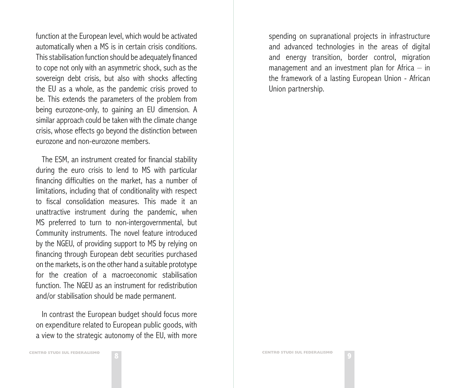function at the European level, which would be activated automatically when a MS is in certain crisis conditions. This stabilisation function should be adequately financed to cope not only with an asymmetric shock, such as the sovereign debt crisis, but also with shocks affecting the EU as a whole, as the pandemic crisis proved to be. This extends the parameters of the problem from being eurozone-only, to gaining an EU dimension. A similar approach could be taken with the climate change crisis, whose effects go beyond the distinction between eurozone and non-eurozone members.

The ESM, an instrument created for financial stability during the euro crisis to lend to MS with particular financing difficulties on the market, has a number of limitations, including that of conditionality with respect to fiscal consolidation measures. This made it an unattractive instrument during the pandemic, when MS preferred to turn to non-intergovernmental, but Community instruments. The novel feature introduced by the NGEU, of providing support to MS by relying on financing through European debt securities purchased on the markets, is on the other hand a suitable prototype for the creation of a macroeconomic stabilisation function. The NGEU as an instrument for redistribution and/or stabilisation should be made permanent.

In contrast the European budget should focus more on expenditure related to European public goods, with a view to the strategic autonomy of the EU, with more

spending on supranational projects in infrastructure and advanced technologies in the areas of digital and energy transition, border control, migration management and an investment plan for Africa  $-$  in the framework of a lasting European Union - African Union partnership.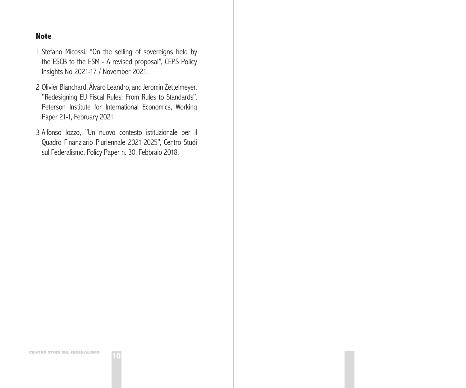## **Note**

1 [Stefano Micossi, "On the selling of sovereigns held by](https://www.ceps.eu/ceps-publications/on-the-selling-of-sovereigns-held-by-the-escb-to-the-esm/)  [the ESCB to the ESM - A revised proposal", CEPS Policy](https://www.ceps.eu/ceps-publications/on-the-selling-of-sovereigns-held-by-the-escb-to-the-esm/)  [Insights No 2021-17 / November 2021](https://www.ceps.eu/ceps-publications/on-the-selling-of-sovereigns-held-by-the-escb-to-the-esm/).

- 2 [Olivier Blanchard, Álvaro Leandro, and Jeromin Zettelmeyer,](https://www.piie.com/publications/working-papers/redesigning-eu-fiscal-rules-rules-standards)  ["Redesigning EU Fiscal Rules: From Rules to Standards",](https://www.piie.com/publications/working-papers/redesigning-eu-fiscal-rules-rules-standards)  [Peterson Institute for International Economics, Working](https://www.piie.com/publications/working-papers/redesigning-eu-fiscal-rules-rules-standards)  [Paper 21-1,](https://www.piie.com/publications/working-papers/redesigning-eu-fiscal-rules-rules-standards) February 2021.
- 3 [Alfonso Iozzo, "Un nuovo contesto istituzionale per il](https://www.csfederalismo.it/images/policy_paper/PP30_Iozzo_UE-QFP_febb2018.pdf)  [Quadro Finanziario Pluriennale 2021-2025", Centro Studi](https://www.csfederalismo.it/images/policy_paper/PP30_Iozzo_UE-QFP_febb2018.pdf)  [sul Federalismo, Policy Paper n. 30, Febbraio 2018.](https://www.csfederalismo.it/images/policy_paper/PP30_Iozzo_UE-QFP_febb2018.pdf)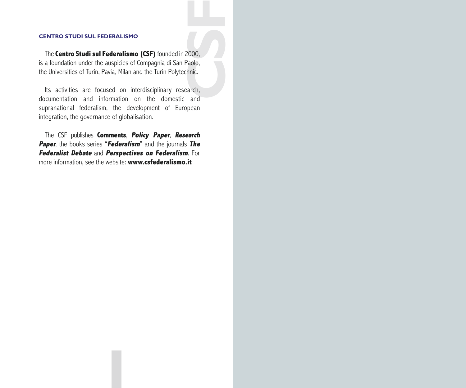## **CENTRO STUDI SUL FEDERALISMO**

**COOO,**<br> **COOO,**<br> **COOO,**<br> **COOO,**<br> **COOO,**<br> **COOO,**<br> **COOO,**<br> **COOO,**<br> **COOO,** The **Centro Studi sul Federalismo (CSF)** founded in 2000, is a foundation under the auspicies of Compagnia di San Paolo, the Universities of Turin, Pavia, Milan and the Turin Polytechnic.

Its activities are focused on interdisciplinary research, documentation and information on the domestic and supranational federalism, the development of European integration, the governance of globalisation.

The CSF publishes **Comments**, **Policy Paper**, **Research Paper**, the books series "**Federalism**" and the journals **The Federalist Debate** and **Perspectives on Federalism**. For more information, see the website: **www.csfederalismo.it**